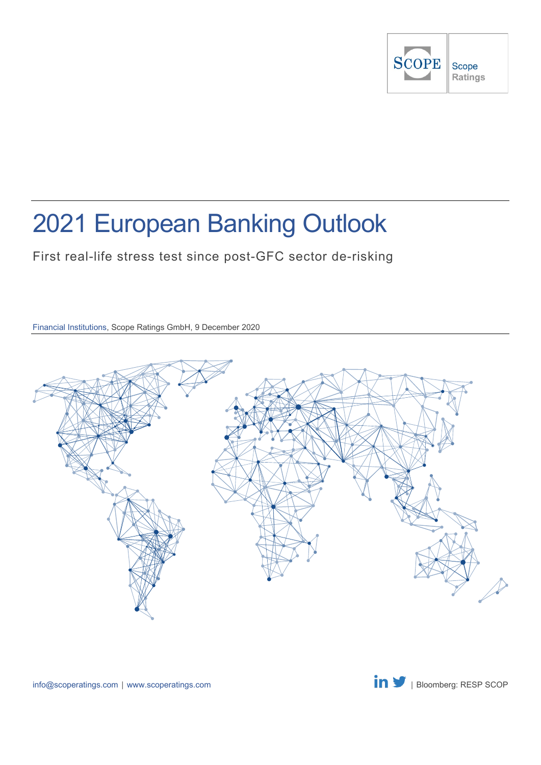

# 2021 European Banking Outlook

First real-life stress test since post-GFC sector de-risking

Financial Institutions, Scope Ratings GmbH, 9 December 2020

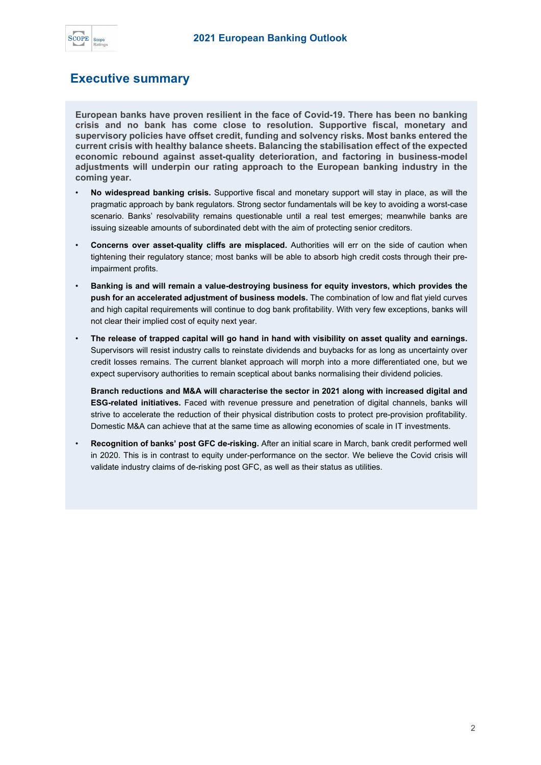

### <span id="page-1-0"></span>**Executive summary**

**European banks have proven resilient in the face of Covid-19. There has been no banking crisis and no bank has come close to resolution. Supportive fiscal, monetary and supervisory policies have offset credit, funding and solvency risks. Most banks entered the current crisis with healthy balance sheets. Balancing the stabilisation effect of the expected economic rebound against asset-quality deterioration, and factoring in business-model adjustments will underpin our rating approach to the European banking industry in the coming year.**

- **No widespread banking crisis.** Supportive fiscal and monetary support will stay in place, as will the pragmatic approach by bank regulators. Strong sector fundamentals will be key to avoiding a worst-case scenario. Banks' resolvability remains questionable until a real test emerges; meanwhile banks are issuing sizeable amounts of subordinated debt with the aim of protecting senior creditors.
- **Concerns over asset-quality cliffs are misplaced.** Authorities will err on the side of caution when tightening their regulatory stance; most banks will be able to absorb high credit costs through their preimpairment profits.
- **Banking is and will remain a value-destroying business for equity investors, which provides the push for an accelerated adjustment of business models.** The combination of low and flat yield curves and high capital requirements will continue to dog bank profitability. With very few exceptions, banks will not clear their implied cost of equity next year.
- **The release of trapped capital will go hand in hand with visibility on asset quality and earnings.**  Supervisors will resist industry calls to reinstate dividends and buybacks for as long as uncertainty over credit losses remains. The current blanket approach will morph into a more differentiated one, but we expect supervisory authorities to remain sceptical about banks normalising their dividend policies.

**Branch reductions and M&A will characterise the sector in 2021 along with increased digital and ESG-related initiatives.** Faced with revenue pressure and penetration of digital channels, banks will strive to accelerate the reduction of their physical distribution costs to protect pre-provision profitability. Domestic M&A can achieve that at the same time as allowing economies of scale in IT investments.

• **Recognition of banks' post GFC de-risking.** After an initial scare in March, bank credit performed well in 2020. This is in contrast to equity under-performance on the sector. We believe the Covid crisis will validate industry claims of de-risking post GFC, as well as their status as utilities.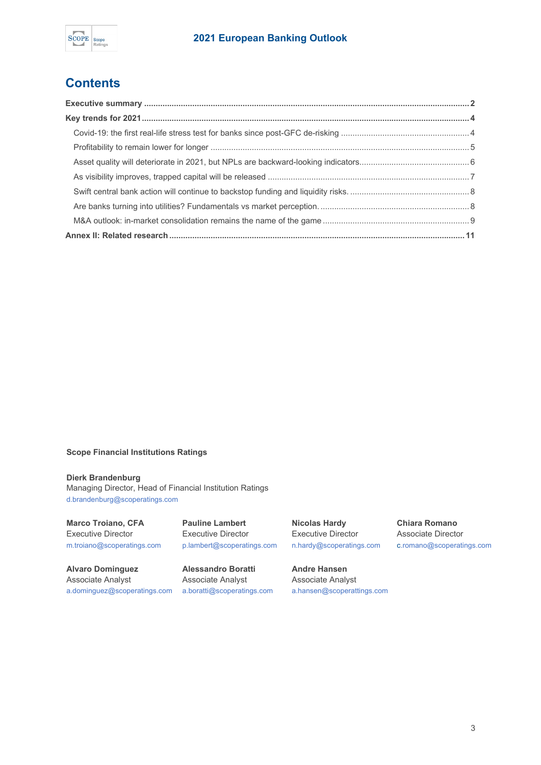

### **Contents**

### **Scope Financial Institutions Ratings**

#### **Dierk Brandenburg**

Managing Director, Head of Financial Institution Ratings [d.brandenburg@scoperatings.com](mailto:d.brandenburg@scoperatings.com)

**Marco Troiano, CFA**  Executive Director [m.troiano@scoperatings.com](mailto:m.troiano@scoperatings.com)

**Alvaro Dominguez**  Associate Analyst [a.dominguez@scoperatings.com](mailto:a.dominguez@scoperatings.com) **Pauline Lambert**  Executive Director [p.lambert@scoperatings.com](mailto:p.lambert@scoperatings.com)

**Alessandro Boratti** Associate Analyst [a.boratti@scoperatings.com](mailto:a.boratti@scoperatings.com) **Nicolas Hardy** Executive Director [n.hardy@scoperatings.com](mailto:n.hardy@scoperatings.com) 

**Andre Hansen**  Associate Analyst [a.hansen@scoperattings.com](mailto:a.hansen@scoperattings.com%09) **Chiara Romano**  Associate Director [c.romano@scoperatings.com](mailto:c.romano@scoperatings.com)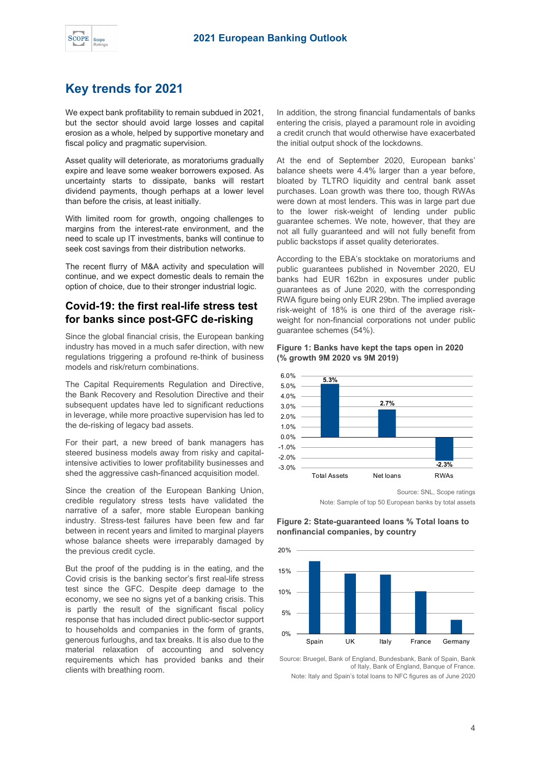

### <span id="page-3-0"></span>**Key trends for 2021**

We expect bank profitability to remain subdued in 2021, but the sector should avoid large losses and capital erosion as a whole, helped by supportive monetary and fiscal policy and pragmatic supervision.

Asset quality will deteriorate, as moratoriums gradually expire and leave some weaker borrowers exposed. As uncertainty starts to dissipate, banks will restart dividend payments, though perhaps at a lower level than before the crisis, at least initially.

With limited room for growth, ongoing challenges to margins from the interest-rate environment, and the need to scale up IT investments, banks will continue to seek cost savings from their distribution networks.

The recent flurry of M&A activity and speculation will continue, and we expect domestic deals to remain the option of choice, due to their stronger industrial logic.

### <span id="page-3-1"></span>**Covid-19: the first real-life stress test for banks since post-GFC de-risking**

Since the global financial crisis, the European banking industry has moved in a much safer direction, with new regulations triggering a profound re-think of business models and risk/return combinations.

The Capital Requirements Regulation and Directive, the Bank Recovery and Resolution Directive and their subsequent updates have led to significant reductions in leverage, while more proactive supervision has led to the de-risking of legacy bad assets.

For their part, a new breed of bank managers has steered business models away from risky and capitalintensive activities to lower profitability businesses and shed the aggressive cash-financed acquisition model.

Since the creation of the European Banking Union, credible regulatory stress tests have validated the narrative of a safer, more stable European banking industry. Stress-test failures have been few and far between in recent years and limited to marginal players whose balance sheets were irreparably damaged by the previous credit cycle.

But the proof of the pudding is in the eating, and the Covid crisis is the banking sector's first real-life stress test since the GFC. Despite deep damage to the economy, we see no signs yet of a banking crisis. This is partly the result of the significant fiscal policy response that has included direct public-sector support to households and companies in the form of grants, generous furloughs, and tax breaks. It is also due to the material relaxation of accounting and solvency requirements which has provided banks and their clients with breathing room.

In addition, the strong financial fundamentals of banks entering the crisis, played a paramount role in avoiding a credit crunch that would otherwise have exacerbated the initial output shock of the lockdowns.

At the end of September 2020, European banks' balance sheets were 4.4% larger than a year before, bloated by TLTRO liquidity and central bank asset purchases. Loan growth was there too, though RWAs were down at most lenders. This was in large part due to the lower risk-weight of lending under public guarantee schemes. We note, however, that they are not all fully guaranteed and will not fully benefit from public backstops if asset quality deteriorates.

According to the EBA's stocktake on moratoriums and public guarantees published in November 2020, EU banks had EUR 162bn in exposures under public guarantees as of June 2020, with the corresponding RWA figure being only EUR 29bn. The implied average risk-weight of 18% is one third of the average riskweight for non-financial corporations not under public guarantee schemes (54%).

#### **Figure 1: Banks have kept the taps open in 2020 (% growth 9M 2020 vs 9M 2019)**



Source: SNL, Scope ratings

Note: Sample of top 50 European banks by total assets

**Figure 2: State-guaranteed loans % Total loans to nonfinancial companies, by country**



Source: Bruegel, Bank of England, Bundesbank, Bank of Spain, Bank of Italy, Bank of England, Banque of France. Note: Italy and Spain's total loans to NFC figures as of June 2020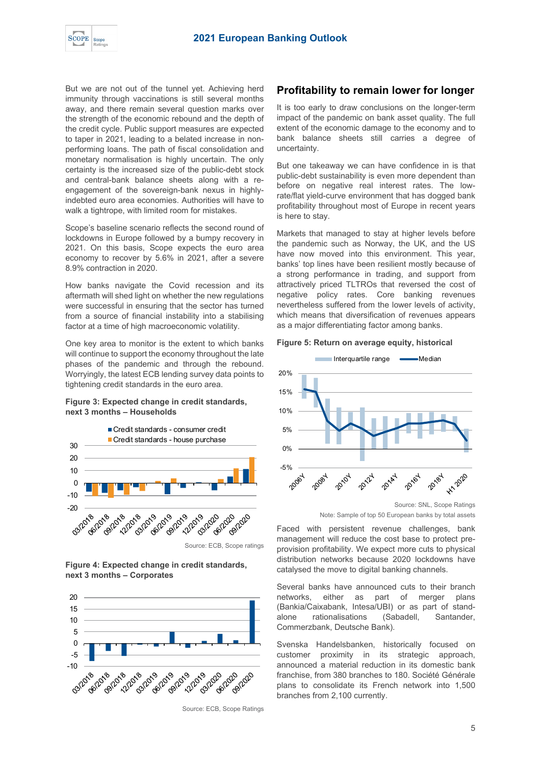But we are not out of the tunnel yet. Achieving herd immunity through vaccinations is still several months away, and there remain several question marks over the strength of the economic rebound and the depth of the credit cycle. Public support measures are expected to taper in 2021, leading to a belated increase in nonperforming loans. The path of fiscal consolidation and monetary normalisation is highly uncertain. The only certainty is the increased size of the public-debt stock and central-bank balance sheets along with a reengagement of the sovereign-bank nexus in highlyindebted euro area economies. Authorities will have to walk a tightrope, with limited room for mistakes.

Scope's baseline scenario reflects the second round of lockdowns in Europe followed by a bumpy recovery in 2021. On this basis, Scope expects the euro area economy to recover by 5.6% in 2021, after a severe 8.9% contraction in 2020.

How banks navigate the Covid recession and its aftermath will shed light on whether the new regulations were successful in ensuring that the sector has turned from a source of financial instability into a stabilising factor at a time of high macroeconomic volatility.

One key area to monitor is the extent to which banks will continue to support the economy throughout the late phases of the pandemic and through the rebound. Worryingly, the latest ECB lending survey data points to tightening credit standards in the euro area.

### **Figure 3: Expected change in credit standards, next 3 months – Households**



**Figure 4: Expected change in credit standards, next 3 months – Corporates**



Source: ECB, Scope Ratings

### <span id="page-4-0"></span>**Profitability to remain lower for longer**

It is too early to draw conclusions on the longer-term impact of the pandemic on bank asset quality. The full extent of the economic damage to the economy and to bank balance sheets still carries a degree of uncertainty.

But one takeaway we can have confidence in is that public-debt sustainability is even more dependent than before on negative real interest rates. The lowrate/flat yield-curve environment that has dogged bank profitability throughout most of Europe in recent years is here to stay.

Markets that managed to stay at higher levels before the pandemic such as Norway, the UK, and the US have now moved into this environment. This year, banks' top lines have been resilient mostly because of a strong performance in trading, and support from attractively priced TLTROs that reversed the cost of negative policy rates. Core banking revenues nevertheless suffered from the lower levels of activity, which means that diversification of revenues appears as a major differentiating factor among banks.

#### **Figure 5: Return on average equity, historical**



Note: Sample of top 50 European banks by total assets

Faced with persistent revenue challenges, bank management will reduce the cost base to protect preprovision profitability. We expect more cuts to physical distribution networks because 2020 lockdowns have catalysed the move to digital banking channels.

Several banks have announced cuts to their branch networks, either as part of merger plans (Bankia/Caixabank, Intesa/UBI) or as part of standalone rationalisations (Sabadell, Santander, Commerzbank, Deutsche Bank).

Svenska Handelsbanken, historically focused on customer proximity in its strategic approach, announced a material reduction in its domestic bank franchise, from 380 branches to 180. Société Générale plans to consolidate its French network into 1,500 branches from 2,100 currently.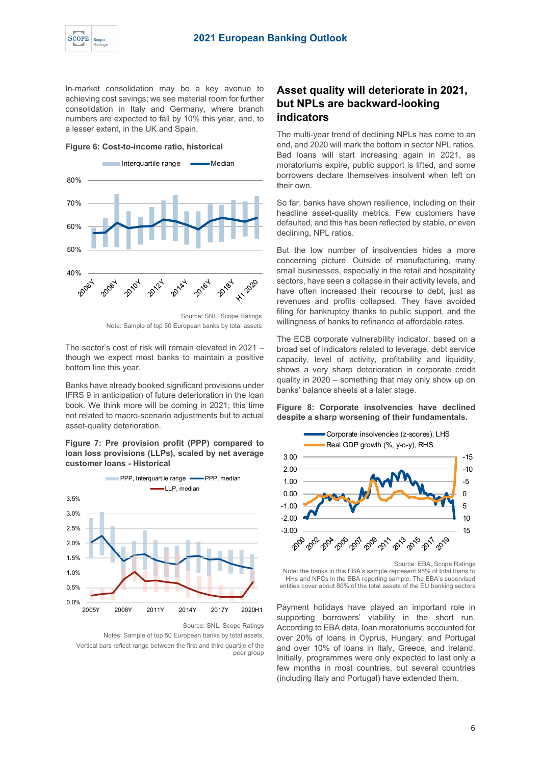

In-market consolidation may be a key avenue to achieving cost savings; we see material room for further consolidation in Italy and Germany, where branch numbers are expected to fall by 10% this year, and, to a lesser extent, in the UK and Spain.

**Figure 6: Cost-to-income ratio, historical**



Source: SNL, Scope Ratings Note: Sample of top 50 European banks by total assets

The sector's cost of risk will remain elevated in 2021 – though we expect most banks to maintain a positive bottom line this year.

Banks have already booked significant provisions under IFRS 9 in anticipation of future deterioration in the loan book. We think more will be coming in 2021; this time not related to macro-scenario adjustments but to actual asset-quality deterioration.

**Figure 7: Pre provision profit (PPP) compared to loan loss provisions (LLPs), scaled by net average customer loans - Historical**



Source: SNL, Scope Ratings

Notes: Sample of top 50 European banks by total assets. Vertical bars reflect range between the first and third quartile of the peer group

### <span id="page-5-0"></span>**Asset quality will deteriorate in 2021, but NPLs are backward-looking indicators**

The multi-year trend of declining NPLs has come to an end, and 2020 will mark the bottom in sector NPL ratios. Bad loans will start increasing again in 2021, as moratoriums expire, public support is lifted, and some borrowers declare themselves insolvent when left on their own.

So far, banks have shown resilience, including on their headline asset-quality metrics. Few customers have defaulted, and this has been reflected by stable, or even declining, NPL ratios.

But the low number of insolvencies hides a more concerning picture. Outside of manufacturing, many small businesses, especially in the retail and hospitality sectors, have seen a collapse in their activity levels, and have often increased their recourse to debt, just as revenues and profits collapsed. They have avoided filing for bankruptcy thanks to public support, and the willingness of banks to refinance at affordable rates.

The ECB corporate vulnerability indicator, based on a broad set of indicators related to leverage, debt service capacity, level of activity, profitability and liquidity, shows a very sharp deterioration in corporate credit quality in 2020 – something that may only show up on banks' balance sheets at a later stage.

#### **Figure 8: Corporate insolvencies have declined despite a sharp worsening of their fundamentals.**



Note: the banks in this EBA's sample represent 95% of total loans to HHs and NFCs in the EBA reporting sample. The EBA's supervised entities cover about 80% of the total assets of the EU banking sectors

Payment holidays have played an important role in supporting borrowers' viability in the short run. According to EBA data, loan moratoriums accounted for over 20% of loans in Cyprus, Hungary, and Portugal and over 10% of loans in Italy, Greece, and Ireland. Initially, programmes were only expected to last only a few months in most countries, but several countries (including Italy and Portugal) have extended them.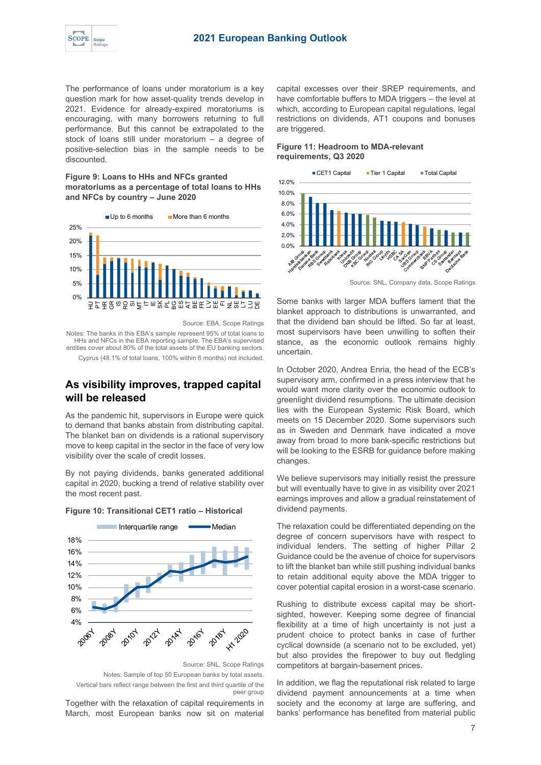The performance of loans under moratorium is a key question mark for how asset-quality trends develop in 2021. Evidence for already-expired moratoriums is encouraging, with many borrowers returning to full performance. But this cannot be extrapolated to the stock of loans still under moratorium – a degree of positive-selection bias in the sample needs to be discounted.

#### **Figure 9: Loans to HHs and NFCs granted moratoriums as a percentage of total loans to HHs and NFCs by country – June 2020**



Source: EBA, Scope Ratings

Notes: The banks in this EBA's sample represent 95% of total loans to HHs and NFCs in the EBA reporting sample. The EBA's supervised entities cover about 80% of the total assets of the EU banking sectors. Cyprus (48.1% of total loans, 100% within 6 months) not included.

## <span id="page-6-0"></span>**As visibility improves, trapped capital**

**will be released**

As the pandemic hit, supervisors in Europe were quick to demand that banks abstain from distributing capital. The blanket ban on dividends is a rational supervisory move to keep capital in the sector in the face of very low visibility over the scale of credit losses.

By not paying dividends, banks generated additional capital in 2020, bucking a trend of relative stability over the most recent past.



### **Figure 10: Transitional CET1 ratio – Historical**

Notes: Sample of top 50 European banks by total assets. Vertical bars reflect range between the first and third quartile of the

peer group

Together with the relaxation of capital requirements in March, most European banks now sit on material

capital excesses over their SREP requirements, and have comfortable buffers to MDA triggers – the level at which, according to European capital regulations, legal restrictions on dividends, AT1 coupons and bonuses are triggered.

#### **Figure 11: Headroom to MDA-relevant requirements, Q3 2020**



Source: SNL, Company data, Scope Ratings

Some banks with larger MDA buffers lament that the blanket approach to distributions is unwarranted, and that the dividend ban should be lifted. So far at least, most supervisors have been unwilling to soften their stance, as the economic outlook remains highly uncertain.

In October 2020, Andrea Enria, the head of the ECB's supervisory arm, confirmed in a press interview that he would want more clarity over the economic outlook to greenlight dividend resumptions. The ultimate decision lies with the European Systemic Risk Board, which meets on 15 December 2020. Some supervisors such as in Sweden and Denmark have indicated a move away from broad to more bank-specific restrictions but will be looking to the ESRB for guidance before making changes.

We believe supervisors may initially resist the pressure but will eventually have to give in as visibility over 2021 earnings improves and allow a gradual reinstatement of dividend payments.

The relaxation could be differentiated depending on the degree of concern supervisors have with respect to individual lenders. The setting of higher Pillar 2 Guidance could be the avenue of choice for supervisors to lift the blanket ban while still pushing individual banks to retain additional equity above the MDA trigger to cover potential capital erosion in a worst-case scenario.

Rushing to distribute excess capital may be shortsighted, however. Keeping some degree of financial flexibility at a time of high uncertainty is not just a prudent choice to protect banks in case of further cyclical downside (a scenario not to be excluded, yet) but also provides the firepower to buy out fledgling competitors at bargain-basement prices.

In addition, we flag the reputational risk related to large dividend payment announcements at a time when society and the economy at large are suffering, and banks' performance has benefited from material public

Source: SNL, Scope Ratings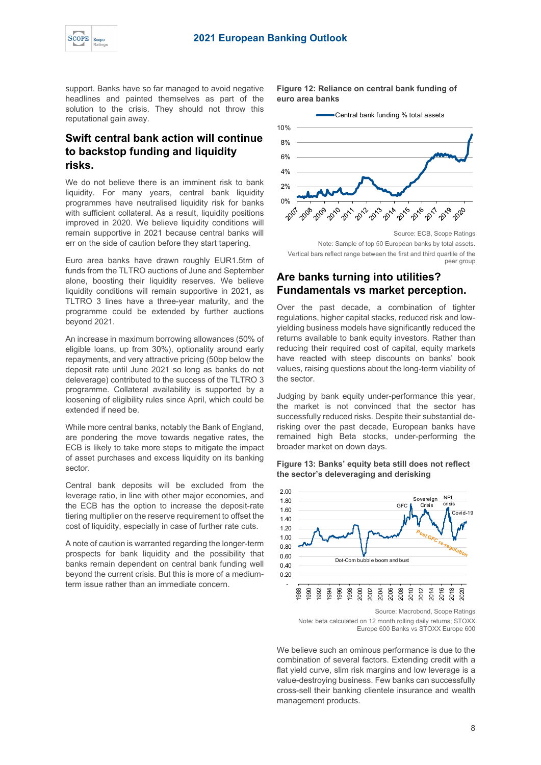

support. Banks have so far managed to avoid negative headlines and painted themselves as part of the solution to the crisis. They should not throw this reputational gain away.

### <span id="page-7-0"></span>**Swift central bank action will continue to backstop funding and liquidity risks.**

We do not believe there is an imminent risk to bank liquidity. For many years, central bank liquidity programmes have neutralised liquidity risk for banks with sufficient collateral. As a result, liquidity positions improved in 2020. We believe liquidity conditions will remain supportive in 2021 because central banks will err on the side of caution before they start tapering.

Euro area banks have drawn roughly EUR1.5trn of funds from the TLTRO auctions of June and September alone, boosting their liquidity reserves. We believe liquidity conditions will remain supportive in 2021, as TLTRO 3 lines have a three-year maturity, and the programme could be extended by further auctions beyond 2021.

An increase in maximum borrowing allowances (50% of eligible loans, up from 30%), optionality around early repayments, and very attractive pricing (50bp below the deposit rate until June 2021 so long as banks do not deleverage) contributed to the success of the TLTRO 3 programme. Collateral availability is supported by a loosening of eligibility rules since April, which could be extended if need be.

While more central banks, notably the Bank of England, are pondering the move towards negative rates, the ECB is likely to take more steps to mitigate the impact of asset purchases and excess liquidity on its banking sector.

Central bank deposits will be excluded from the leverage ratio, in line with other major economies, and the ECB has the option to increase the deposit-rate tiering multiplier on the reserve requirement to offset the cost of liquidity, especially in case of further rate cuts.

A note of caution is warranted regarding the longer-term prospects for bank liquidity and the possibility that banks remain dependent on central bank funding well beyond the current crisis. But this is more of a mediumterm issue rather than an immediate concern.

**Figure 12: Reliance on central bank funding of euro area banks** 



Source: ECB, Scope Ratings Note: Sample of top 50 European banks by total assets. Vertical bars reflect range between the first and third quartile of the peer group

### <span id="page-7-1"></span>**Are banks turning into utilities? Fundamentals vs market perception.**

Over the past decade, a combination of tighter regulations, higher capital stacks, reduced risk and lowyielding business models have significantly reduced the returns available to bank equity investors. Rather than reducing their required cost of capital, equity markets have reacted with steep discounts on banks' book values, raising questions about the long-term viability of the sector.

Judging by bank equity under-performance this year, the market is not convinced that the sector has successfully reduced risks. Despite their substantial derisking over the past decade, European banks have remained high Beta stocks, under-performing the broader market on down days.

#### **Figure 13: Banks' equity beta still does not reflect the sector's deleveraging and derisking**



Source: Macrobond, Scope Ratings

Note: beta calculated on 12 month rolling daily returns; STOXX Europe 600 Banks vs STOXX Europe 600

We believe such an ominous performance is due to the combination of several factors. Extending credit with a flat yield curve, slim risk margins and low leverage is a value-destroying business. Few banks can successfully cross-sell their banking clientele insurance and wealth management products.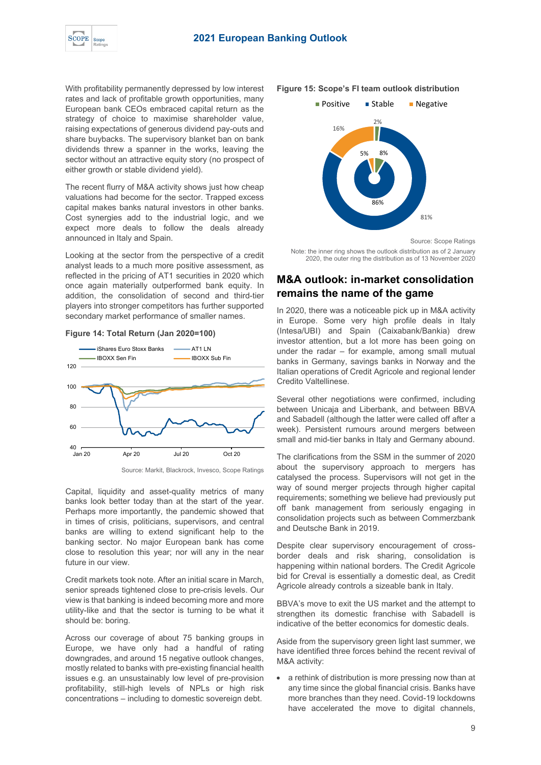

With profitability permanently depressed by low interest rates and lack of profitable growth opportunities, many European bank CEOs embraced capital return as the strategy of choice to maximise shareholder value, raising expectations of generous dividend pay-outs and share buybacks. The supervisory blanket ban on bank dividends threw a spanner in the works, leaving the sector without an attractive equity story (no prospect of either growth or stable dividend yield).

The recent flurry of M&A activity shows just how cheap valuations had become for the sector. Trapped excess capital makes banks natural investors in other banks. Cost synergies add to the industrial logic, and we expect more deals to follow the deals already announced in Italy and Spain.

Looking at the sector from the perspective of a credit analyst leads to a much more positive assessment, as reflected in the pricing of AT1 securities in 2020 which once again materially outperformed bank equity. In addition, the consolidation of second and third-tier players into stronger competitors has further supported secondary market performance of smaller names.







Capital, liquidity and asset-quality metrics of many banks look better today than at the start of the year. Perhaps more importantly, the pandemic showed that in times of crisis, politicians, supervisors, and central banks are willing to extend significant help to the banking sector. No major European bank has come close to resolution this year; nor will any in the near future in our view.

Credit markets took note. After an initial scare in March, senior spreads tightened close to pre-crisis levels. Our view is that banking is indeed becoming more and more utility-like and that the sector is turning to be what it should be: boring.

Across our coverage of about 75 banking groups in Europe, we have only had a handful of rating downgrades, and around 15 negative outlook changes, mostly related to banks with pre-existing financial health issues e.g. an unsustainably low level of pre-provision profitability, still-high levels of NPLs or high risk concentrations – including to domestic sovereign debt.

#### **Figure 15: Scope's FI team outlook distribution**



Source: Scope Ratings

Note: the inner ring shows the outlook distribution as of 2 January 2020, the outer ring the distribution as of 13 November 2020

### <span id="page-8-0"></span>**M&A outlook: in-market consolidation remains the name of the game**

In 2020, there was a noticeable pick up in M&A activity in Europe. Some very high profile deals in Italy (Intesa/UBI) and Spain (Caixabank/Bankia) drew investor attention, but a lot more has been going on under the radar – for example, among small mutual banks in Germany, savings banks in Norway and the Italian operations of Credit Agricole and regional lender Credito Valtellinese.

Several other negotiations were confirmed, including between Unicaja and Liberbank, and between BBVA and Sabadell (although the latter were called off after a week). Persistent rumours around mergers between small and mid-tier banks in Italy and Germany abound.

The clarifications from the SSM in the summer of 2020 about the supervisory approach to mergers has catalysed the process. Supervisors will not get in the way of sound merger projects through higher capital requirements; something we believe had previously put off bank management from seriously engaging in consolidation projects such as between Commerzbank and Deutsche Bank in 2019.

Despite clear supervisory encouragement of crossborder deals and risk sharing, consolidation is happening within national borders. The Credit Agricole bid for Creval is essentially a domestic deal, as Credit Agricole already controls a sizeable bank in Italy.

BBVA's move to exit the US market and the attempt to strengthen its domestic franchise with Sabadell is indicative of the better economics for domestic deals.

Aside from the supervisory green light last summer, we have identified three forces behind the recent revival of M&A activity:

• a rethink of distribution is more pressing now than at any time since the global financial crisis. Banks have more branches than they need. Covid-19 lockdowns have accelerated the move to digital channels,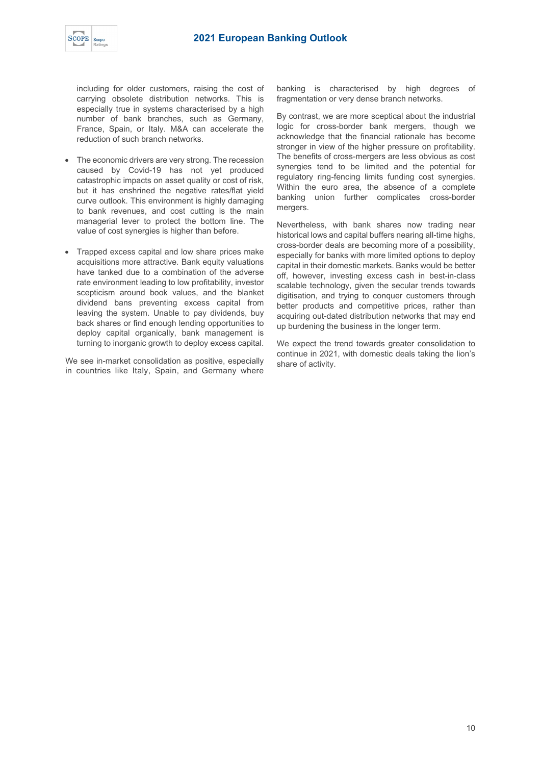

including for older customers, raising the cost of carrying obsolete distribution networks. This is especially true in systems characterised by a high number of bank branches, such as Germany, France, Spain, or Italy. M&A can accelerate the reduction of such branch networks.

- The economic drivers are very strong. The recession caused by Covid-19 has not yet produced catastrophic impacts on asset quality or cost of risk, but it has enshrined the negative rates/flat yield curve outlook. This environment is highly damaging to bank revenues, and cost cutting is the main managerial lever to protect the bottom line. The value of cost synergies is higher than before.
- Trapped excess capital and low share prices make acquisitions more attractive. Bank equity valuations have tanked due to a combination of the adverse rate environment leading to low profitability, investor scepticism around book values, and the blanket dividend bans preventing excess capital from leaving the system. Unable to pay dividends, buy back shares or find enough lending opportunities to deploy capital organically, bank management is turning to inorganic growth to deploy excess capital.

We see in-market consolidation as positive, especially in countries like Italy, Spain, and Germany where

banking is characterised by high degrees of fragmentation or very dense branch networks.

By contrast, we are more sceptical about the industrial logic for cross-border bank mergers, though we acknowledge that the financial rationale has become stronger in view of the higher pressure on profitability. The benefits of cross-mergers are less obvious as cost synergies tend to be limited and the potential for regulatory ring-fencing limits funding cost synergies. Within the euro area, the absence of a complete banking union further complicates cross-border mergers.

Nevertheless, with bank shares now trading near historical lows and capital buffers nearing all-time highs, cross-border deals are becoming more of a possibility, especially for banks with more limited options to deploy capital in their domestic markets. Banks would be better off, however, investing excess cash in best-in-class scalable technology, given the secular trends towards digitisation, and trying to conquer customers through better products and competitive prices, rather than acquiring out-dated distribution networks that may end up burdening the business in the longer term.

We expect the trend towards greater consolidation to continue in 2021, with domestic deals taking the lion's share of activity.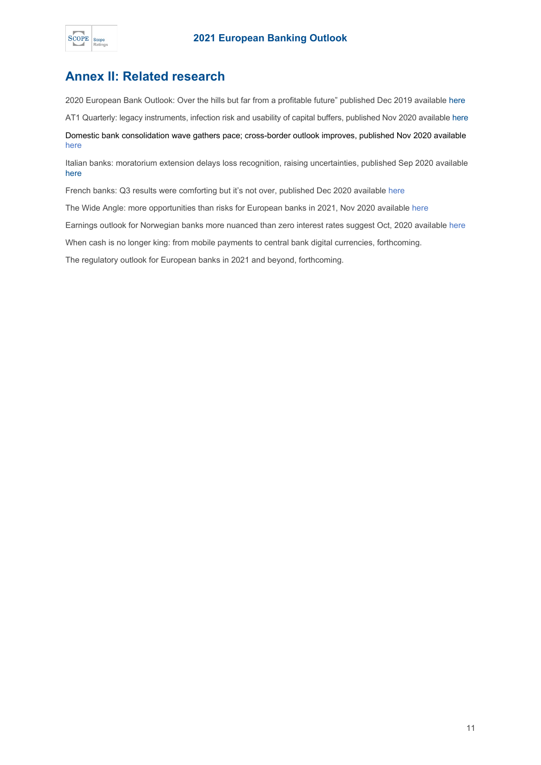

### <span id="page-10-0"></span>**Annex II: Related research**

2020 European Bank Outlook: Over the hills but far from a profitable future" published Dec 2019 available [here](https://www.scoperatings.com/ScopeRatingsApi/api/downloadstudy?id=22b7f49e-ed40-465b-a279-49544340f283)

AT1 Quarterly: legacy instruments, infection risk and usability of capital buffers, published Nov 2020 available [here](https://www.scoperatings.com/ScopeRatingsApi/api/downloadstudy?id=5227c470-e476-4c8c-9c43-a17e582ee256)

Domestic bank consolidation wave gathers pace; cross-border outlook improves, published Nov 2020 available [here](https://www.scoperatings.com/#!search/research/detail/165728EN)

Italian banks: moratorium extension delays loss recognition, raising uncertainties, published Sep 2020 available [here](https://www.scoperatings.com/ScopeRatingsApi/api/downloadstudy?id=7104ee06-4ce7-46fa-bd4e-e59f5b7384f5)

French banks: Q3 results were comforting but it's not over, published Dec 2020 availabl[e here](https://www.scoperatings.com/#!search/research/detail/165880EN)

The Wide Angle: more opportunities than risks for European banks in 2021, Nov 2020 availabl[e here](https://www.scoperatings.com/#!search/research/detail/165636EN)

Earnings outlook for Norwegian banks more nuanced than zero interest rates suggest Oct, 2020 availabl[e here](https://www.scoperatings.com/#!search/research/detail/165455EN)

When cash is no longer king: from mobile payments to central bank digital currencies, forthcoming.

The regulatory outlook for European banks in 2021 and beyond, forthcoming.